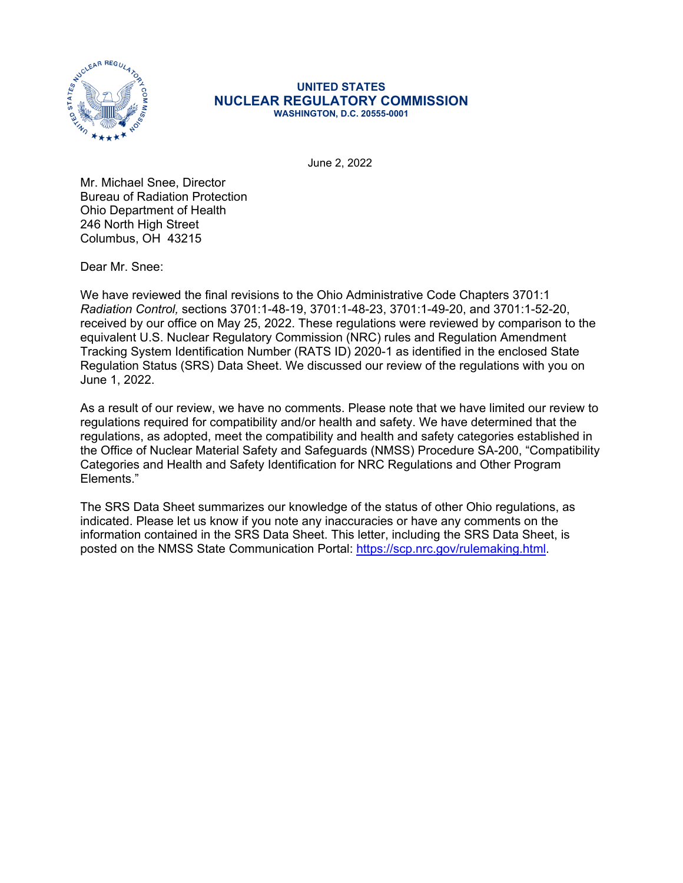

## **UNITED STATES NUCLEAR REGULATORY COMMISSION WASHINGTON, D.C. 20555-0001**

June 2, 2022

Mr. Michael Snee, Director Bureau of Radiation Protection Ohio Department of Health 246 North High Street Columbus, OH 43215

Dear Mr. Snee:

We have reviewed the final revisions to the Ohio Administrative Code Chapters 3701:1 *Radiation Control,* sections 3701:1-48-19, 3701:1-48-23, 3701:1-49-20, and 3701:1-52-20, received by our office on May 25, 2022. These regulations were reviewed by comparison to the equivalent U.S. Nuclear Regulatory Commission (NRC) rules and Regulation Amendment Tracking System Identification Number (RATS ID) 2020-1 as identified in the enclosed State Regulation Status (SRS) Data Sheet. We discussed our review of the regulations with you on June 1, 2022.

As a result of our review, we have no comments. Please note that we have limited our review to regulations required for compatibility and/or health and safety. We have determined that the regulations, as adopted, meet the compatibility and health and safety categories established in the Office of Nuclear Material Safety and Safeguards (NMSS) Procedure SA-200, "Compatibility Categories and Health and Safety Identification for NRC Regulations and Other Program Elements."

The SRS Data Sheet summarizes our knowledge of the status of other Ohio regulations, as indicated. Please let us know if you note any inaccuracies or have any comments on the information contained in the SRS Data Sheet. This letter, including the SRS Data Sheet, is posted on the NMSS State Communication Portal: [https://scp.nrc.gov/rulemaking.html.](https://scp.nrc.gov/rulemaking.html)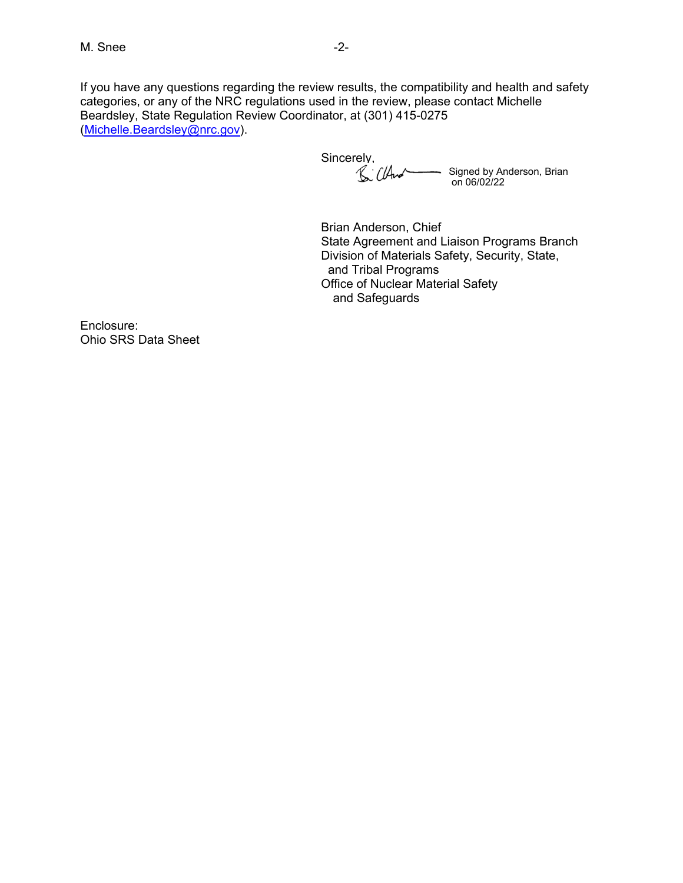If you have any questions regarding the review results, the compatibility and health and safety categories, or any of the NRC regulations used in the review, please contact Michelle Beardsley, State Regulation Review Coordinator, at (301) 415-0275 ([Michelle.Beardsley@nrc.gov](mailto:Michelle.Beardsley@nrc.gov)).

Sincerely, Signed by Anderson, Brian on 06/02/22

Brian Anderson, Chief State Agreement and Liaison Programs Branch Division of Materials Safety, Security, State, and Tribal Programs Office of Nuclear Material Safety and Safeguards

Enclosure: Ohio SRS Data Sheet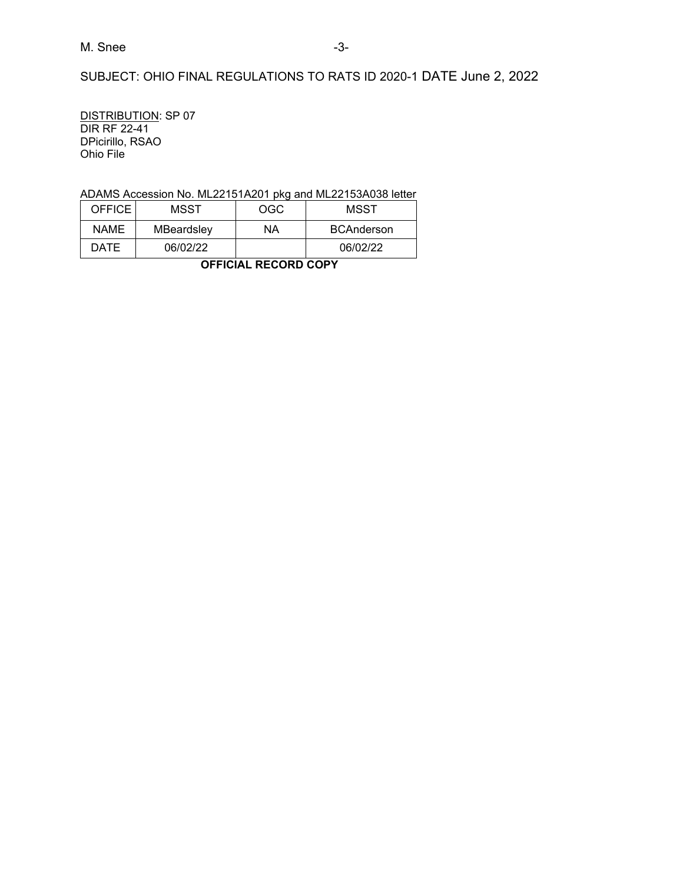SUBJECT: OHIO FINAL REGULATIONS TO RATS ID 2020-1 DATE June 2, 2022

DISTRIBUTION: SP 07 DIR RF 22-41 DPicirillo, RSAO Ohio File

## ADAMS Accession No. ML22151A201 pkg and ML22153A038 letter

| <b>OFFICE</b> | MSST       | OGC | MSST              |
|---------------|------------|-----|-------------------|
| <b>NAME</b>   | MBeardsley | NΑ  | <b>BCAnderson</b> |
| <b>DATE</b>   | 06/02/22   |     | 06/02/22          |

**OFFICIAL RECORD COPY**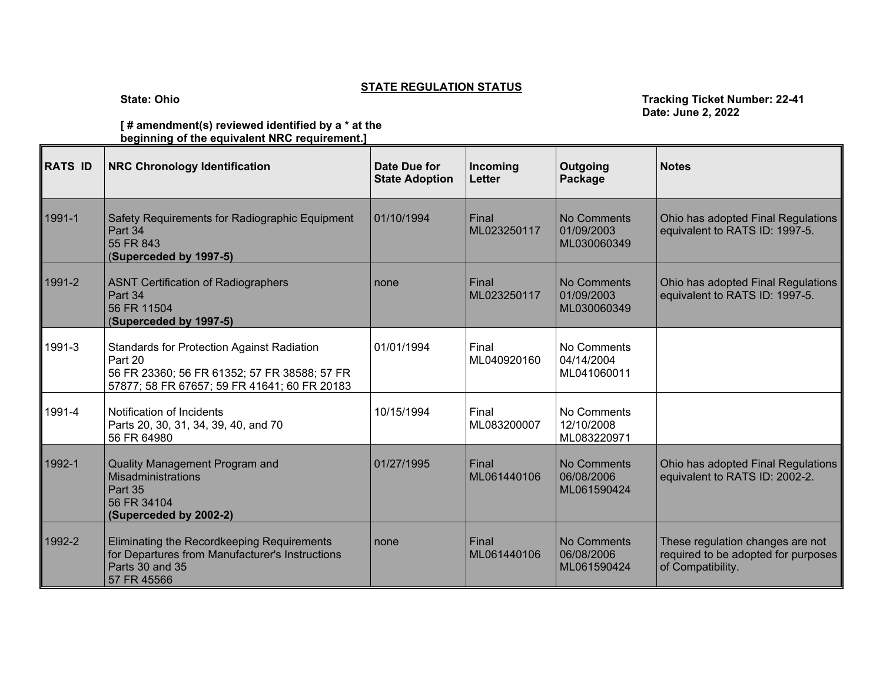## **STATE REGULATION STATUS**

**State: Ohio Tracking Ticket Number: 22-41 Date: June 2, 2022**

**[ # amendment(s) reviewed identified by a \* at the beginning of the equivalent NRC requirement.]** 

| <b>RATS ID</b> | <b>NRC Chronology Identification</b>                                                                                                                         | Date Due for<br><b>State Adoption</b> | Incoming<br><b>Letter</b> | Outgoing<br>Package                      | <b>Notes</b>                                                                                 |
|----------------|--------------------------------------------------------------------------------------------------------------------------------------------------------------|---------------------------------------|---------------------------|------------------------------------------|----------------------------------------------------------------------------------------------|
| 1991-1         | Safety Requirements for Radiographic Equipment<br>Part 34<br>55 FR 843<br>(Superceded by 1997-5)                                                             | 01/10/1994                            | Final<br>ML023250117      | No Comments<br>01/09/2003<br>ML030060349 | Ohio has adopted Final Regulations<br>equivalent to RATS ID: 1997-5.                         |
| 1991-2         | <b>ASNT Certification of Radiographers</b><br>Part 34<br>56 FR 11504<br>(Superceded by 1997-5)                                                               | none                                  | Final<br>ML023250117      | No Comments<br>01/09/2003<br>ML030060349 | Ohio has adopted Final Regulations<br>equivalent to RATS ID: 1997-5.                         |
| 1991-3         | <b>Standards for Protection Against Radiation</b><br>Part 20<br>56 FR 23360; 56 FR 61352; 57 FR 38588; 57 FR<br>57877; 58 FR 67657; 59 FR 41641; 60 FR 20183 | 01/01/1994                            | Final<br>ML040920160      | No Comments<br>04/14/2004<br>ML041060011 |                                                                                              |
| 1991-4         | Notification of Incidents<br>Parts 20, 30, 31, 34, 39, 40, and 70<br>56 FR 64980                                                                             | 10/15/1994                            | Final<br>ML083200007      | No Comments<br>12/10/2008<br>ML083220971 |                                                                                              |
| 1992-1         | Quality Management Program and<br>Misadministrations<br>Part 35<br>56 FR 34104<br>(Superceded by 2002-2)                                                     | 01/27/1995                            | Final<br>ML061440106      | No Comments<br>06/08/2006<br>ML061590424 | Ohio has adopted Final Regulations<br>equivalent to RATS ID: 2002-2.                         |
| 1992-2         | Eliminating the Recordkeeping Requirements<br>for Departures from Manufacturer's Instructions<br>Parts 30 and 35<br>57 FR 45566                              | none                                  | Final<br>ML061440106      | No Comments<br>06/08/2006<br>ML061590424 | These regulation changes are not<br>required to be adopted for purposes<br>of Compatibility. |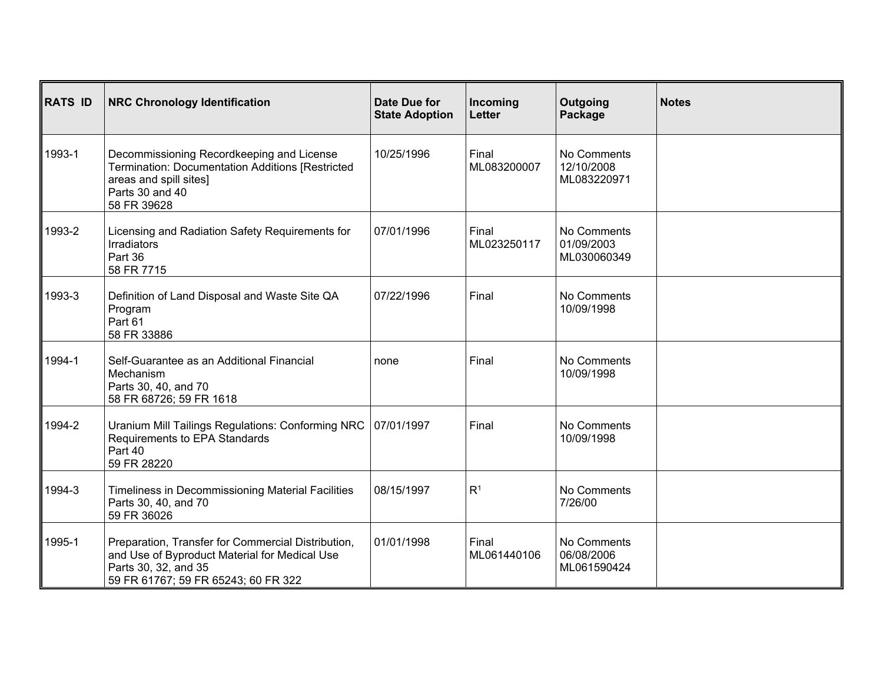| <b>RATS ID</b> | <b>NRC Chronology Identification</b>                                                                                                                               | Date Due for<br><b>State Adoption</b> | Incoming<br>Letter   | Outgoing<br>Package                      | <b>Notes</b> |
|----------------|--------------------------------------------------------------------------------------------------------------------------------------------------------------------|---------------------------------------|----------------------|------------------------------------------|--------------|
| 1993-1         | Decommissioning Recordkeeping and License<br>Termination: Documentation Additions [Restricted<br>areas and spill sites]<br>Parts 30 and 40<br>58 FR 39628          | 10/25/1996                            | Final<br>ML083200007 | No Comments<br>12/10/2008<br>ML083220971 |              |
| 1993-2         | Licensing and Radiation Safety Requirements for<br><b>Irradiators</b><br>Part 36<br>58 FR 7715                                                                     | 07/01/1996                            | Final<br>ML023250117 | No Comments<br>01/09/2003<br>ML030060349 |              |
| 1993-3         | Definition of Land Disposal and Waste Site QA<br>Program<br>Part 61<br>58 FR 33886                                                                                 | 07/22/1996                            | Final                | No Comments<br>10/09/1998                |              |
| 1994-1         | Self-Guarantee as an Additional Financial<br>Mechanism<br>Parts 30, 40, and 70<br>58 FR 68726; 59 FR 1618                                                          | none                                  | Final                | No Comments<br>10/09/1998                |              |
| 1994-2         | Uranium Mill Tailings Regulations: Conforming NRC<br>Requirements to EPA Standards<br>Part 40<br>59 FR 28220                                                       | 07/01/1997                            | Final                | No Comments<br>10/09/1998                |              |
| 1994-3         | Timeliness in Decommissioning Material Facilities<br>Parts 30, 40, and 70<br>59 FR 36026                                                                           | 08/15/1997                            | R <sup>1</sup>       | No Comments<br>7/26/00                   |              |
| 1995-1         | Preparation, Transfer for Commercial Distribution,<br>and Use of Byproduct Material for Medical Use<br>Parts 30, 32, and 35<br>59 FR 61767; 59 FR 65243; 60 FR 322 | 01/01/1998                            | Final<br>ML061440106 | No Comments<br>06/08/2006<br>ML061590424 |              |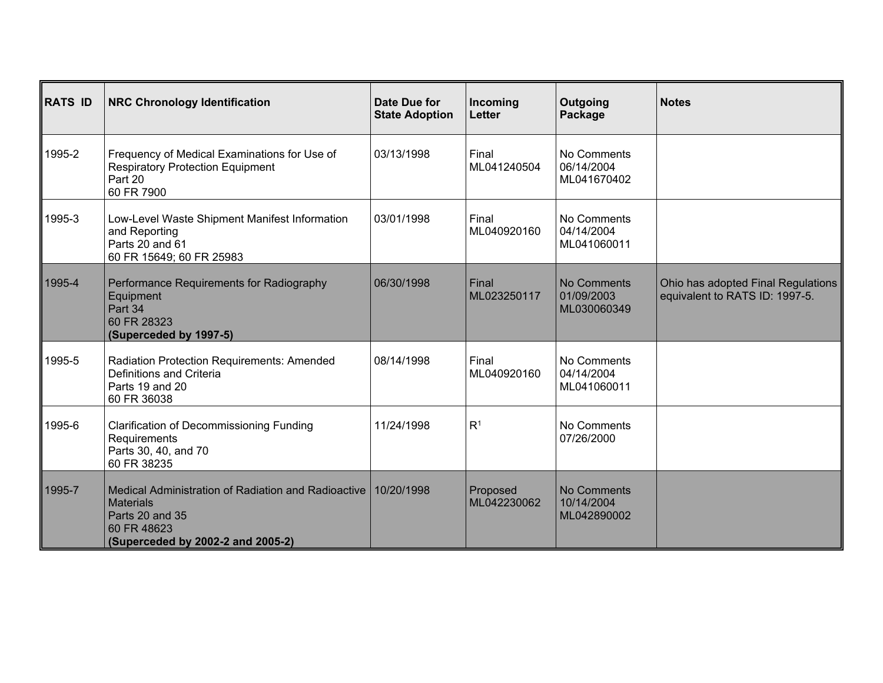| <b>RATS ID</b> | <b>NRC Chronology Identification</b>                                                                                                           | Date Due for<br><b>State Adoption</b> | Incoming<br><b>Letter</b> | Outgoing<br>Package                             | <b>Notes</b>                                                         |
|----------------|------------------------------------------------------------------------------------------------------------------------------------------------|---------------------------------------|---------------------------|-------------------------------------------------|----------------------------------------------------------------------|
| 1995-2         | Frequency of Medical Examinations for Use of<br><b>Respiratory Protection Equipment</b><br>Part 20<br>60 FR 7900                               | 03/13/1998                            | Final<br>ML041240504      | No Comments<br>06/14/2004<br>ML041670402        |                                                                      |
| 1995-3         | Low-Level Waste Shipment Manifest Information<br>and Reporting<br>Parts 20 and 61<br>60 FR 15649; 60 FR 25983                                  | 03/01/1998                            | Final<br>ML040920160      | No Comments<br>04/14/2004<br>ML041060011        |                                                                      |
| 1995-4         | Performance Requirements for Radiography<br>Equipment<br>Part 34<br>60 FR 28323<br>(Superceded by 1997-5)                                      | 06/30/1998                            | Final<br>ML023250117      | <b>No Comments</b><br>01/09/2003<br>ML030060349 | Ohio has adopted Final Regulations<br>equivalent to RATS ID: 1997-5. |
| 1995-5         | Radiation Protection Requirements: Amended<br>Definitions and Criteria<br>Parts 19 and 20<br>60 FR 36038                                       | 08/14/1998                            | Final<br>ML040920160      | No Comments<br>04/14/2004<br>ML041060011        |                                                                      |
| 1995-6         | <b>Clarification of Decommissioning Funding</b><br>Requirements<br>Parts 30, 40, and 70<br>60 FR 38235                                         | 11/24/1998                            | R <sup>1</sup>            | No Comments<br>07/26/2000                       |                                                                      |
| 1995-7         | Medical Administration of Radiation and Radioactive<br><b>Materials</b><br>Parts 20 and 35<br>60 FR 48623<br>(Superceded by 2002-2 and 2005-2) | 10/20/1998                            | Proposed<br>ML042230062   | No Comments<br>10/14/2004<br>ML042890002        |                                                                      |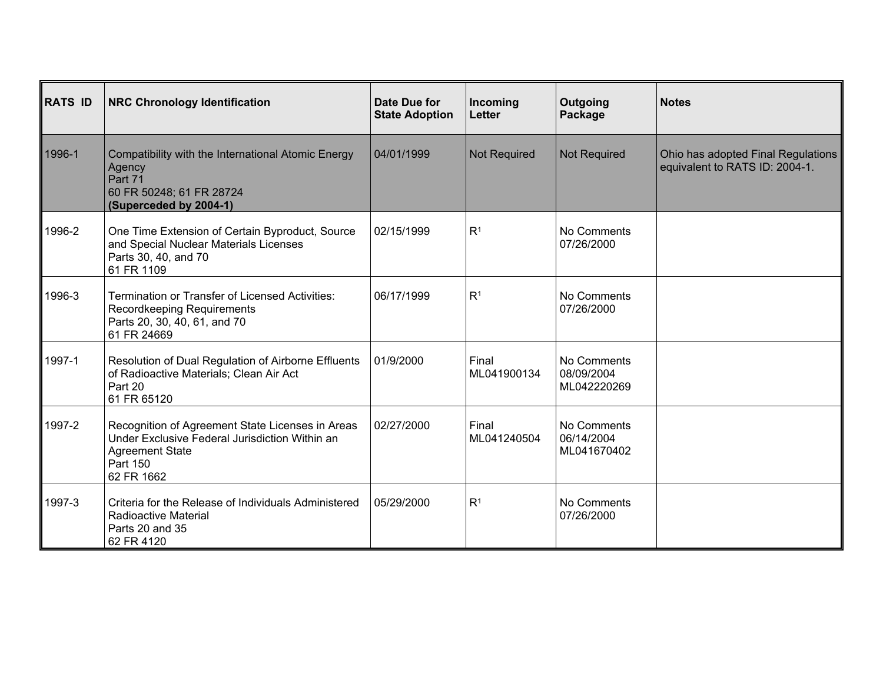| <b>RATS ID</b> | <b>NRC Chronology Identification</b>                                                                                                                   | Date Due for<br><b>State Adoption</b> | Incoming<br><b>Letter</b> | Outgoing<br>Package                      | <b>Notes</b>                                                         |
|----------------|--------------------------------------------------------------------------------------------------------------------------------------------------------|---------------------------------------|---------------------------|------------------------------------------|----------------------------------------------------------------------|
| 1996-1         | Compatibility with the International Atomic Energy<br>Agency<br>Part 71<br>60 FR 50248; 61 FR 28724<br>(Superceded by 2004-1)                          | 04/01/1999                            | <b>Not Required</b>       | <b>Not Required</b>                      | Ohio has adopted Final Regulations<br>equivalent to RATS ID: 2004-1. |
| 1996-2         | One Time Extension of Certain Byproduct, Source<br>and Special Nuclear Materials Licenses<br>Parts 30, 40, and 70<br>61 FR 1109                        | 02/15/1999                            | R <sup>1</sup>            | No Comments<br>07/26/2000                |                                                                      |
| 1996-3         | <b>Termination or Transfer of Licensed Activities:</b><br>Recordkeeping Requirements<br>Parts 20, 30, 40, 61, and 70<br>61 FR 24669                    | 06/17/1999                            | R <sup>1</sup>            | No Comments<br>07/26/2000                |                                                                      |
| 1997-1         | Resolution of Dual Regulation of Airborne Effluents<br>of Radioactive Materials; Clean Air Act<br>Part 20<br>61 FR 65120                               | 01/9/2000                             | Final<br>ML041900134      | No Comments<br>08/09/2004<br>ML042220269 |                                                                      |
| 1997-2         | Recognition of Agreement State Licenses in Areas<br>Under Exclusive Federal Jurisdiction Within an<br><b>Agreement State</b><br>Part 150<br>62 FR 1662 | 02/27/2000                            | Final<br>ML041240504      | No Comments<br>06/14/2004<br>ML041670402 |                                                                      |
| 1997-3         | Criteria for the Release of Individuals Administered<br>Radioactive Material<br>Parts 20 and 35<br>62 FR 4120                                          | 05/29/2000                            | R <sup>1</sup>            | No Comments<br>07/26/2000                |                                                                      |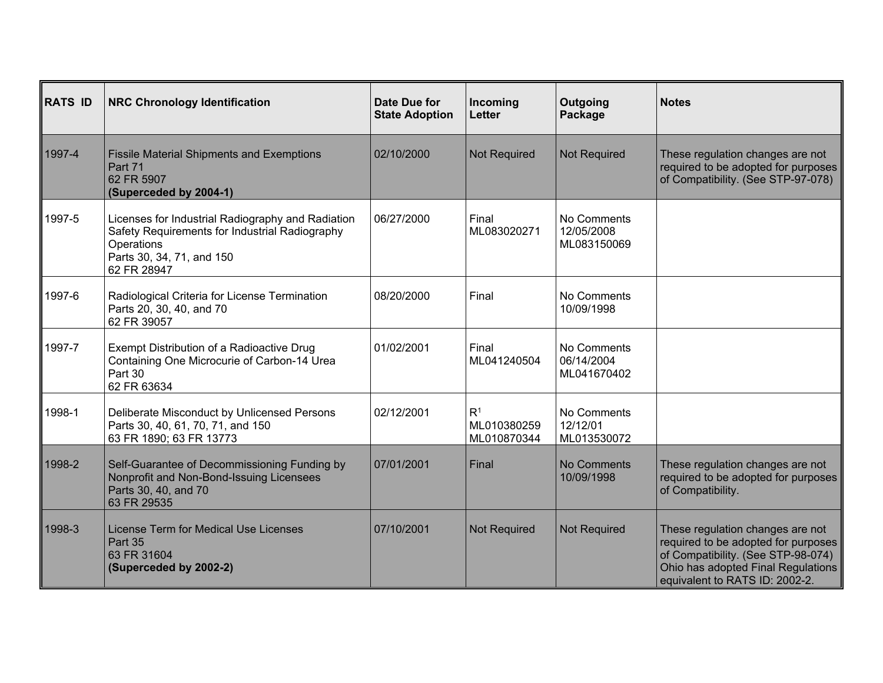| <b>RATS ID</b> | <b>NRC Chronology Identification</b>                                                                                                                          | Date Due for<br><b>State Adoption</b> | Incoming<br><b>Letter</b>                    | Outgoing<br>Package                      | <b>Notes</b>                                                                                                                                                                          |
|----------------|---------------------------------------------------------------------------------------------------------------------------------------------------------------|---------------------------------------|----------------------------------------------|------------------------------------------|---------------------------------------------------------------------------------------------------------------------------------------------------------------------------------------|
| 1997-4         | <b>Fissile Material Shipments and Exemptions</b><br>Part 71<br>62 FR 5907<br>(Superceded by 2004-1)                                                           | 02/10/2000                            | <b>Not Required</b>                          | <b>Not Required</b>                      | These regulation changes are not<br>required to be adopted for purposes<br>of Compatibility. (See STP-97-078)                                                                         |
| 1997-5         | Licenses for Industrial Radiography and Radiation<br>Safety Requirements for Industrial Radiography<br>Operations<br>Parts 30, 34, 71, and 150<br>62 FR 28947 | 06/27/2000                            | Final<br>ML083020271                         | No Comments<br>12/05/2008<br>ML083150069 |                                                                                                                                                                                       |
| 1997-6         | Radiological Criteria for License Termination<br>Parts 20, 30, 40, and 70<br>62 FR 39057                                                                      | 08/20/2000                            | Final                                        | No Comments<br>10/09/1998                |                                                                                                                                                                                       |
| 1997-7         | Exempt Distribution of a Radioactive Drug<br>Containing One Microcurie of Carbon-14 Urea<br>Part 30<br>62 FR 63634                                            | 01/02/2001                            | Final<br>ML041240504                         | No Comments<br>06/14/2004<br>ML041670402 |                                                                                                                                                                                       |
| 1998-1         | Deliberate Misconduct by Unlicensed Persons<br>Parts 30, 40, 61, 70, 71, and 150<br>63 FR 1890; 63 FR 13773                                                   | 02/12/2001                            | R <sup>1</sup><br>ML010380259<br>ML010870344 | No Comments<br>12/12/01<br>ML013530072   |                                                                                                                                                                                       |
| 1998-2         | Self-Guarantee of Decommissioning Funding by<br>Nonprofit and Non-Bond-Issuing Licensees<br>Parts 30, 40, and 70<br>63 FR 29535                               | 07/01/2001                            | Final                                        | <b>No Comments</b><br>10/09/1998         | These regulation changes are not<br>required to be adopted for purposes<br>of Compatibility.                                                                                          |
| 1998-3         | License Term for Medical Use Licenses<br>Part 35<br>63 FR 31604<br>(Superceded by 2002-2)                                                                     | 07/10/2001                            | <b>Not Required</b>                          | <b>Not Required</b>                      | These regulation changes are not<br>required to be adopted for purposes<br>of Compatibility. (See STP-98-074)<br>Ohio has adopted Final Regulations<br>equivalent to RATS ID: 2002-2. |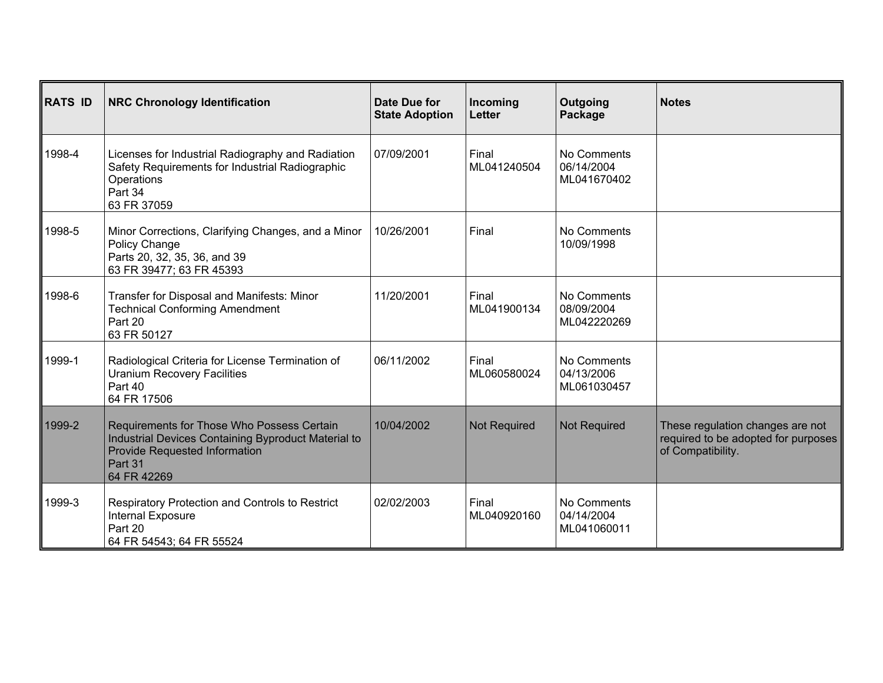| <b>RATS ID</b> | <b>NRC Chronology Identification</b>                                                                                                                                | Date Due for<br><b>State Adoption</b> | Incoming<br>Letter   | Outgoing<br>Package                      | <b>Notes</b>                                                                                 |
|----------------|---------------------------------------------------------------------------------------------------------------------------------------------------------------------|---------------------------------------|----------------------|------------------------------------------|----------------------------------------------------------------------------------------------|
| 1998-4         | Licenses for Industrial Radiography and Radiation<br>Safety Requirements for Industrial Radiographic<br>Operations<br>Part 34<br>63 FR 37059                        | 07/09/2001                            | Final<br>ML041240504 | No Comments<br>06/14/2004<br>ML041670402 |                                                                                              |
| 1998-5         | Minor Corrections, Clarifying Changes, and a Minor<br>Policy Change<br>Parts 20, 32, 35, 36, and 39<br>63 FR 39477; 63 FR 45393                                     | 10/26/2001                            | Final                | No Comments<br>10/09/1998                |                                                                                              |
| 1998-6         | Transfer for Disposal and Manifests: Minor<br><b>Technical Conforming Amendment</b><br>Part 20<br>63 FR 50127                                                       | 11/20/2001                            | Final<br>ML041900134 | No Comments<br>08/09/2004<br>ML042220269 |                                                                                              |
| 1999-1         | Radiological Criteria for License Termination of<br><b>Uranium Recovery Facilities</b><br>Part 40<br>64 FR 17506                                                    | 06/11/2002                            | Final<br>ML060580024 | No Comments<br>04/13/2006<br>ML061030457 |                                                                                              |
| 1999-2         | Requirements for Those Who Possess Certain<br>Industrial Devices Containing Byproduct Material to<br><b>Provide Requested Information</b><br>Part 31<br>64 FR 42269 | 10/04/2002                            | <b>Not Required</b>  | <b>Not Required</b>                      | These regulation changes are not<br>required to be adopted for purposes<br>of Compatibility. |
| 1999-3         | Respiratory Protection and Controls to Restrict<br>Internal Exposure<br>Part 20<br>64 FR 54543; 64 FR 55524                                                         | 02/02/2003                            | Final<br>ML040920160 | No Comments<br>04/14/2004<br>ML041060011 |                                                                                              |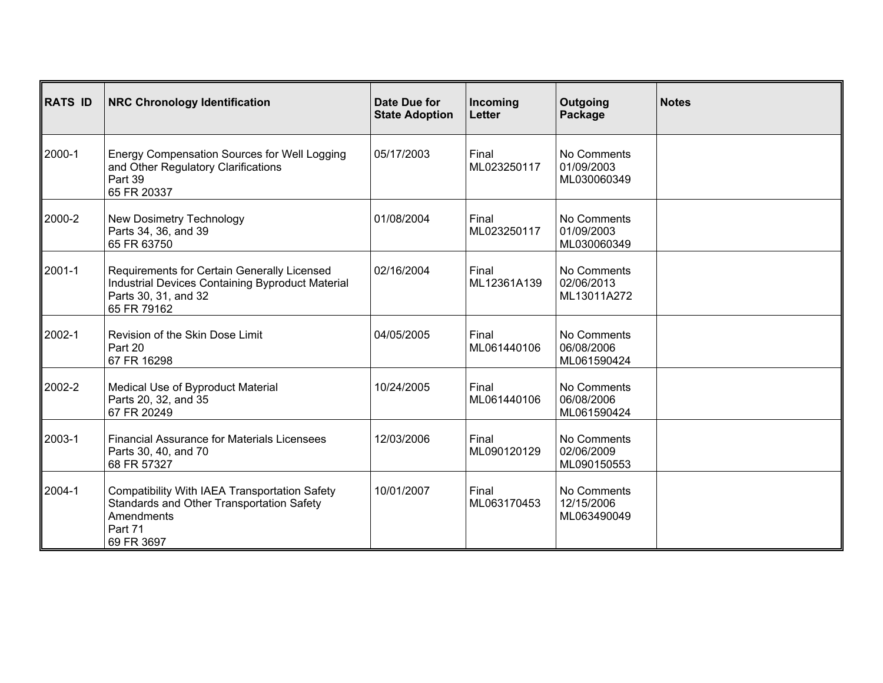| RATS ID | <b>NRC Chronology Identification</b>                                                                                                   | Date Due for<br><b>State Adoption</b> | Incoming<br><b>Letter</b> | Outgoing<br>Package                      | <b>Notes</b> |
|---------|----------------------------------------------------------------------------------------------------------------------------------------|---------------------------------------|---------------------------|------------------------------------------|--------------|
| ∥2000-1 | Energy Compensation Sources for Well Logging<br>and Other Regulatory Clarifications<br>Part 39<br>65 FR 20337                          | 05/17/2003                            | Final<br>ML023250117      | No Comments<br>01/09/2003<br>ML030060349 |              |
| 2000-2  | New Dosimetry Technology<br>Parts 34, 36, and 39<br>65 FR 63750                                                                        | 01/08/2004                            | Final<br>ML023250117      | No Comments<br>01/09/2003<br>ML030060349 |              |
| 2001-1  | Requirements for Certain Generally Licensed<br>Industrial Devices Containing Byproduct Material<br>Parts 30, 31, and 32<br>65 FR 79162 | 02/16/2004                            | Final<br>ML12361A139      | No Comments<br>02/06/2013<br>ML13011A272 |              |
| 2002-1  | Revision of the Skin Dose Limit<br>Part 20<br>67 FR 16298                                                                              | 04/05/2005                            | Final<br>ML061440106      | No Comments<br>06/08/2006<br>ML061590424 |              |
| 2002-2  | Medical Use of Byproduct Material<br>Parts 20, 32, and 35<br>67 FR 20249                                                               | 10/24/2005                            | Final<br>ML061440106      | No Comments<br>06/08/2006<br>ML061590424 |              |
| ∥2003-1 | <b>Financial Assurance for Materials Licensees</b><br>Parts 30, 40, and 70<br>68 FR 57327                                              | 12/03/2006                            | Final<br>ML090120129      | No Comments<br>02/06/2009<br>ML090150553 |              |
| ∥2004-1 | Compatibility With IAEA Transportation Safety<br>Standards and Other Transportation Safety<br>Amendments<br>Part 71<br>69 FR 3697      | 10/01/2007                            | Final<br>ML063170453      | No Comments<br>12/15/2006<br>ML063490049 |              |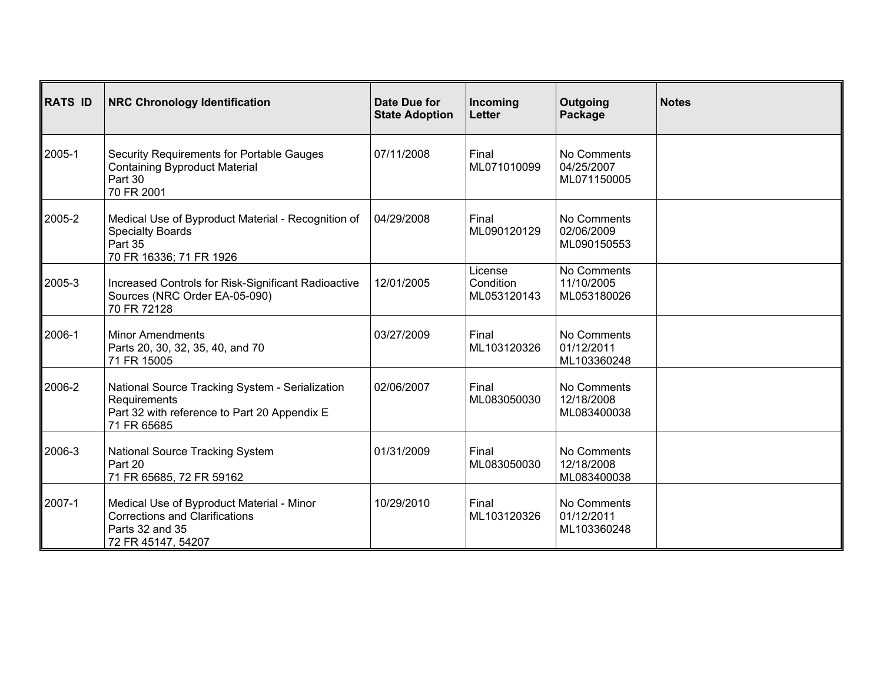| RATS ID | <b>NRC Chronology Identification</b>                                                                                           | Date Due for<br><b>State Adoption</b> | Incoming<br><b>Letter</b>           | Outgoing<br>Package                      | <b>Notes</b> |
|---------|--------------------------------------------------------------------------------------------------------------------------------|---------------------------------------|-------------------------------------|------------------------------------------|--------------|
| 2005-1  | Security Requirements for Portable Gauges<br><b>Containing Byproduct Material</b><br>Part 30<br>70 FR 2001                     | 07/11/2008                            | Final<br>ML071010099                | No Comments<br>04/25/2007<br>ML071150005 |              |
| 2005-2  | Medical Use of Byproduct Material - Recognition of<br><b>Specialty Boards</b><br>Part 35<br>70 FR 16336; 71 FR 1926            | 04/29/2008                            | Final<br>ML090120129                | No Comments<br>02/06/2009<br>ML090150553 |              |
| 2005-3  | Increased Controls for Risk-Significant Radioactive<br>Sources (NRC Order EA-05-090)<br>70 FR 72128                            | 12/01/2005                            | License<br>Condition<br>ML053120143 | No Comments<br>11/10/2005<br>ML053180026 |              |
| ∥2006-1 | <b>Minor Amendments</b><br>Parts 20, 30, 32, 35, 40, and 70<br>71 FR 15005                                                     | 03/27/2009                            | Final<br>ML103120326                | No Comments<br>01/12/2011<br>ML103360248 |              |
| 2006-2  | National Source Tracking System - Serialization<br>Requirements<br>Part 32 with reference to Part 20 Appendix E<br>71 FR 65685 | 02/06/2007                            | Final<br>ML083050030                | No Comments<br>12/18/2008<br>ML083400038 |              |
| 2006-3  | National Source Tracking System<br>Part 20<br>71 FR 65685, 72 FR 59162                                                         | 01/31/2009                            | Final<br>ML083050030                | No Comments<br>12/18/2008<br>ML083400038 |              |
| ∥2007-1 | Medical Use of Byproduct Material - Minor<br><b>Corrections and Clarifications</b><br>Parts 32 and 35<br>72 FR 45147, 54207    | 10/29/2010                            | Final<br>ML103120326                | No Comments<br>01/12/2011<br>ML103360248 |              |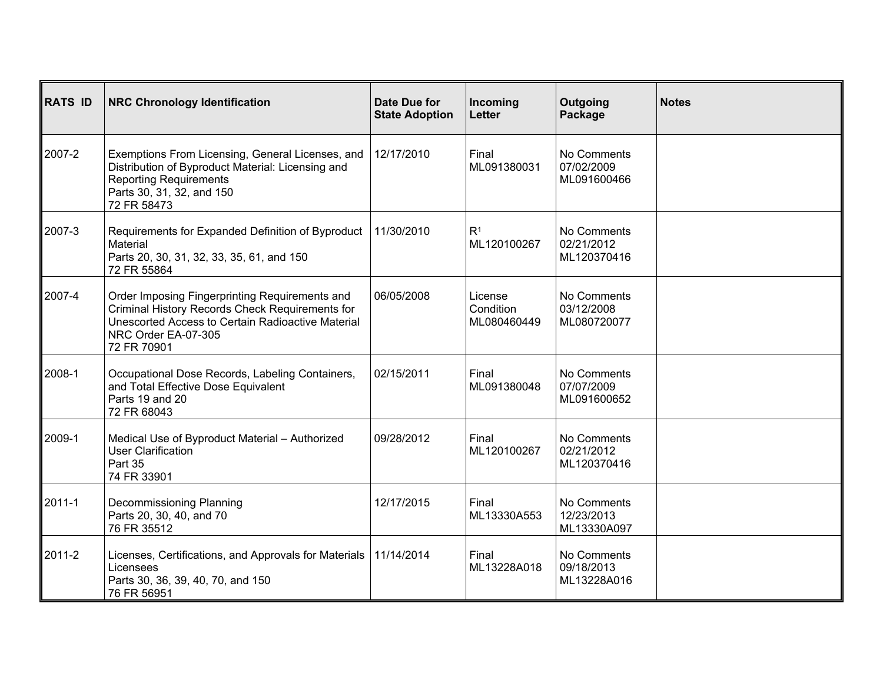| <b>RATS ID</b> | <b>NRC Chronology Identification</b>                                                                                                                                                         | Date Due for<br><b>State Adoption</b> | Incoming<br>Letter                  | Outgoing<br>Package                      | <b>Notes</b> |
|----------------|----------------------------------------------------------------------------------------------------------------------------------------------------------------------------------------------|---------------------------------------|-------------------------------------|------------------------------------------|--------------|
| 2007-2         | Exemptions From Licensing, General Licenses, and<br>Distribution of Byproduct Material: Licensing and<br><b>Reporting Requirements</b><br>Parts 30, 31, 32, and 150<br>72 FR 58473           | 12/17/2010                            | Final<br>ML091380031                | No Comments<br>07/02/2009<br>ML091600466 |              |
| 2007-3         | Requirements for Expanded Definition of Byproduct<br>Material<br>Parts 20, 30, 31, 32, 33, 35, 61, and 150<br>72 FR 55864                                                                    | 11/30/2010                            | R <sup>1</sup><br>ML120100267       | No Comments<br>02/21/2012<br>ML120370416 |              |
| 2007-4         | Order Imposing Fingerprinting Requirements and<br>Criminal History Records Check Requirements for<br>Unescorted Access to Certain Radioactive Material<br>NRC Order EA-07-305<br>72 FR 70901 | 06/05/2008                            | License<br>Condition<br>ML080460449 | No Comments<br>03/12/2008<br>ML080720077 |              |
| 2008-1         | Occupational Dose Records, Labeling Containers,<br>and Total Effective Dose Equivalent<br>Parts 19 and 20<br>72 FR 68043                                                                     | 02/15/2011                            | Final<br>ML091380048                | No Comments<br>07/07/2009<br>ML091600652 |              |
| 2009-1         | Medical Use of Byproduct Material - Authorized<br>User Clarification<br>Part 35<br>74 FR 33901                                                                                               | 09/28/2012                            | Final<br>ML120100267                | No Comments<br>02/21/2012<br>ML120370416 |              |
| 2011-1         | Decommissioning Planning<br>Parts 20, 30, 40, and 70<br>76 FR 35512                                                                                                                          | 12/17/2015                            | Final<br>ML13330A553                | No Comments<br>12/23/2013<br>ML13330A097 |              |
| 2011-2         | Licenses, Certifications, and Approvals for Materials<br>Licensees<br>Parts 30, 36, 39, 40, 70, and 150<br>76 FR 56951                                                                       | 11/14/2014                            | Final<br>ML13228A018                | No Comments<br>09/18/2013<br>ML13228A016 |              |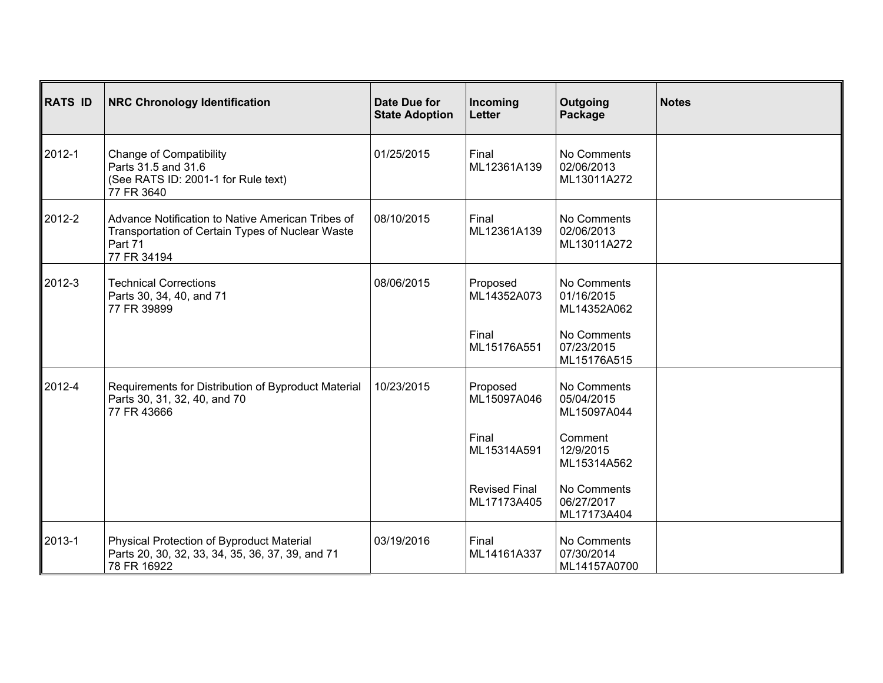| RATS ID | <b>NRC Chronology Identification</b>                                                                                            | Date Due for<br><b>State Adoption</b> | Incoming<br><b>Letter</b>           | Outgoing<br>Package                       | <b>Notes</b> |
|---------|---------------------------------------------------------------------------------------------------------------------------------|---------------------------------------|-------------------------------------|-------------------------------------------|--------------|
| ∥2012-1 | <b>Change of Compatibility</b><br>Parts 31.5 and 31.6<br>(See RATS ID: 2001-1 for Rule text)<br>77 FR 3640                      | 01/25/2015                            | Final<br>ML12361A139                | No Comments<br>02/06/2013<br>ML13011A272  |              |
| 2012-2  | Advance Notification to Native American Tribes of<br>Transportation of Certain Types of Nuclear Waste<br>Part 71<br>77 FR 34194 | 08/10/2015                            | Final<br>ML12361A139                | No Comments<br>02/06/2013<br>ML13011A272  |              |
| 2012-3  | <b>Technical Corrections</b><br>Parts 30, 34, 40, and 71<br>77 FR 39899                                                         | 08/06/2015                            | Proposed<br>ML14352A073             | No Comments<br>01/16/2015<br>ML14352A062  |              |
|         |                                                                                                                                 |                                       | Final<br>ML15176A551                | No Comments<br>07/23/2015<br>ML15176A515  |              |
| ∥2012-4 | Requirements for Distribution of Byproduct Material<br>Parts 30, 31, 32, 40, and 70<br>77 FR 43666                              | 10/23/2015                            | Proposed<br>ML15097A046             | No Comments<br>05/04/2015<br>ML15097A044  |              |
|         |                                                                                                                                 |                                       | Final<br>ML15314A591                | Comment<br>12/9/2015<br>ML15314A562       |              |
|         |                                                                                                                                 |                                       | <b>Revised Final</b><br>ML17173A405 | No Comments<br>06/27/2017<br>ML17173A404  |              |
| 2013-1  | Physical Protection of Byproduct Material<br>Parts 20, 30, 32, 33, 34, 35, 36, 37, 39, and 71<br>78 FR 16922                    | 03/19/2016                            | Final<br>ML14161A337                | No Comments<br>07/30/2014<br>ML14157A0700 |              |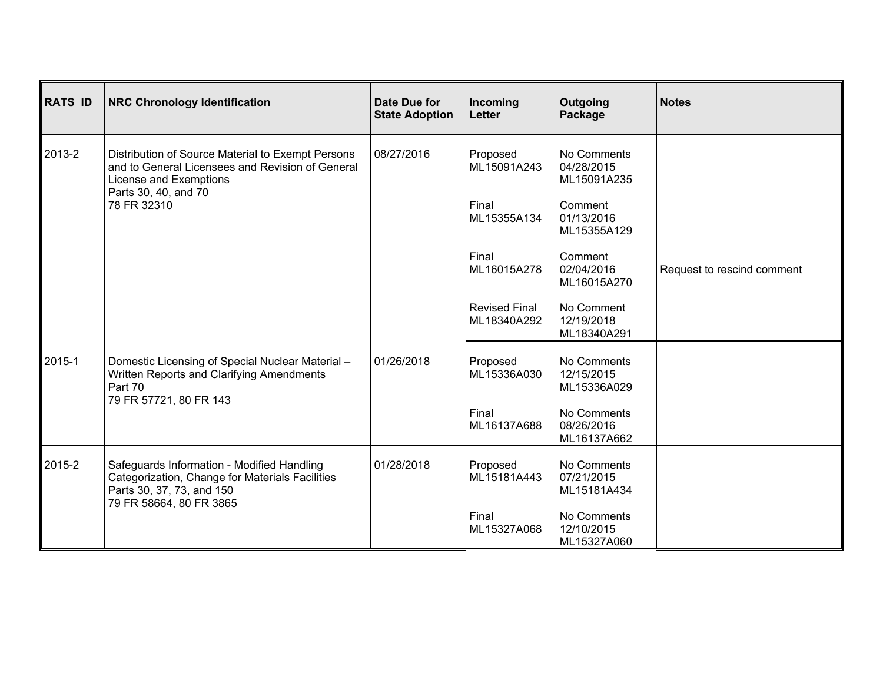| <b>RATS ID</b> | <b>NRC Chronology Identification</b>                                                                                               | Date Due for<br><b>State Adoption</b> | Incoming<br><b>Letter</b>           | Outgoing<br>Package                      | <b>Notes</b>               |
|----------------|------------------------------------------------------------------------------------------------------------------------------------|---------------------------------------|-------------------------------------|------------------------------------------|----------------------------|
| 2013-2         | Distribution of Source Material to Exempt Persons<br>and to General Licensees and Revision of General<br>License and Exemptions    | 08/27/2016                            | Proposed<br>ML15091A243             | No Comments<br>04/28/2015<br>ML15091A235 |                            |
|                | Parts 30, 40, and 70<br>78 FR 32310                                                                                                |                                       | Final<br>ML15355A134                | Comment<br>01/13/2016<br>ML15355A129     |                            |
|                |                                                                                                                                    |                                       | Final<br>ML16015A278                | Comment<br>02/04/2016<br>ML16015A270     | Request to rescind comment |
|                |                                                                                                                                    |                                       | <b>Revised Final</b><br>ML18340A292 | No Comment<br>12/19/2018<br>ML18340A291  |                            |
| 2015-1         | Domestic Licensing of Special Nuclear Material -<br>Written Reports and Clarifying Amendments<br>Part 70<br>79 FR 57721, 80 FR 143 | 01/26/2018                            | Proposed<br>ML15336A030             | No Comments<br>12/15/2015<br>ML15336A029 |                            |
|                |                                                                                                                                    |                                       | Final<br>ML16137A688                | No Comments<br>08/26/2016<br>ML16137A662 |                            |
| 2015-2         | Safeguards Information - Modified Handling<br>Categorization, Change for Materials Facilities<br>Parts 30, 37, 73, and 150         | 01/28/2018                            | Proposed<br>ML15181A443             | No Comments<br>07/21/2015<br>ML15181A434 |                            |
|                | 79 FR 58664, 80 FR 3865                                                                                                            |                                       | Final<br>ML15327A068                | No Comments<br>12/10/2015<br>ML15327A060 |                            |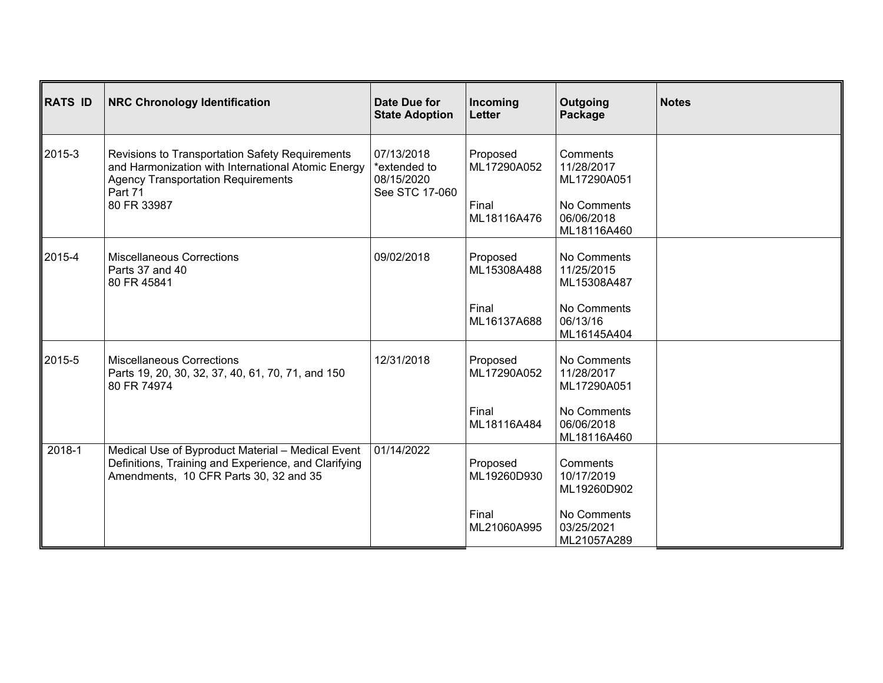| <b>RATS ID</b> | <b>NRC Chronology Identification</b>                                                                                                                                         | Date Due for<br><b>State Adoption</b>                      | Incoming<br>Letter      | Outgoing<br>Package                      | <b>Notes</b> |
|----------------|------------------------------------------------------------------------------------------------------------------------------------------------------------------------------|------------------------------------------------------------|-------------------------|------------------------------------------|--------------|
| 2015-3         | Revisions to Transportation Safety Requirements<br>and Harmonization with International Atomic Energy<br><b>Agency Transportation Requirements</b><br>Part 71<br>80 FR 33987 | 07/13/2018<br>*extended to<br>08/15/2020<br>See STC 17-060 | Proposed<br>ML17290A052 | Comments<br>11/28/2017<br>ML17290A051    |              |
|                |                                                                                                                                                                              |                                                            | Final<br>ML18116A476    | No Comments<br>06/06/2018<br>ML18116A460 |              |
| 2015-4         | <b>Miscellaneous Corrections</b><br>Parts 37 and 40<br>80 FR 45841                                                                                                           | 09/02/2018                                                 | Proposed<br>ML15308A488 | No Comments<br>11/25/2015<br>ML15308A487 |              |
|                |                                                                                                                                                                              |                                                            | Final<br>ML16137A688    | No Comments<br>06/13/16<br>ML16145A404   |              |
| 2015-5         | <b>Miscellaneous Corrections</b><br>Parts 19, 20, 30, 32, 37, 40, 61, 70, 71, and 150<br>80 FR 74974                                                                         | 12/31/2018                                                 | Proposed<br>ML17290A052 | No Comments<br>11/28/2017<br>ML17290A051 |              |
|                |                                                                                                                                                                              |                                                            | Final<br>ML18116A484    | No Comments<br>06/06/2018<br>ML18116A460 |              |
| 2018-1         | Medical Use of Byproduct Material - Medical Event<br>Definitions, Training and Experience, and Clarifying<br>Amendments, 10 CFR Parts 30, 32 and 35                          | 01/14/2022                                                 | Proposed<br>ML19260D930 | Comments<br>10/17/2019<br>ML19260D902    |              |
|                |                                                                                                                                                                              |                                                            | Final<br>ML21060A995    | No Comments<br>03/25/2021<br>ML21057A289 |              |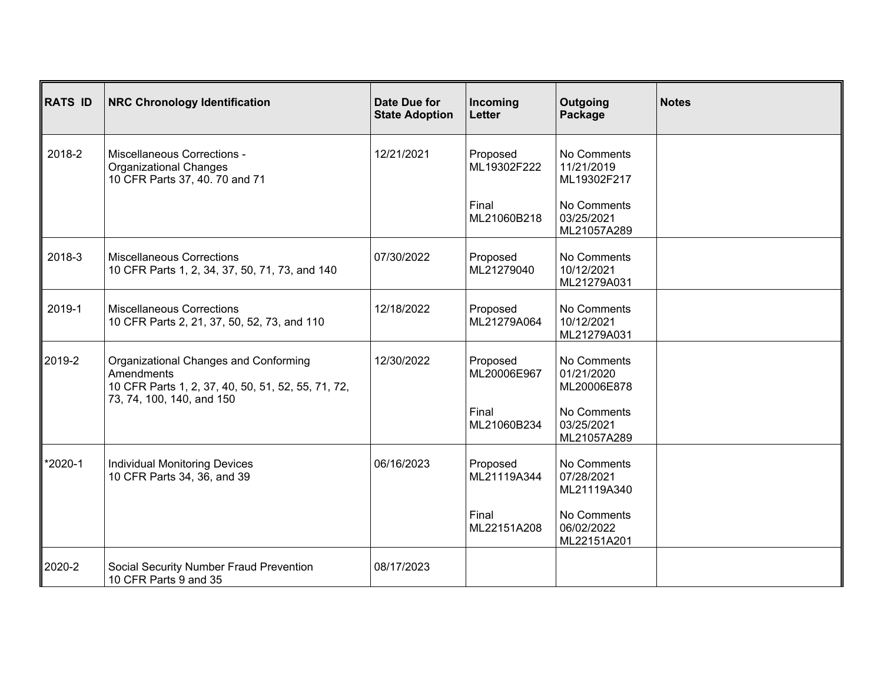| RATS ID | <b>NRC Chronology Identification</b>                                                                                                   | Date Due for<br><b>State Adoption</b> | Incoming<br>Letter      | Outgoing<br>Package                      | <b>Notes</b> |
|---------|----------------------------------------------------------------------------------------------------------------------------------------|---------------------------------------|-------------------------|------------------------------------------|--------------|
| 2018-2  | Miscellaneous Corrections -<br><b>Organizational Changes</b><br>10 CFR Parts 37, 40. 70 and 71                                         | 12/21/2021                            | Proposed<br>ML19302F222 | No Comments<br>11/21/2019<br>ML19302F217 |              |
|         |                                                                                                                                        |                                       | Final<br>ML21060B218    | No Comments<br>03/25/2021<br>ML21057A289 |              |
| 2018-3  | <b>Miscellaneous Corrections</b><br>10 CFR Parts 1, 2, 34, 37, 50, 71, 73, and 140                                                     | 07/30/2022                            | Proposed<br>ML21279040  | No Comments<br>10/12/2021<br>ML21279A031 |              |
| 2019-1  | <b>Miscellaneous Corrections</b><br>10 CFR Parts 2, 21, 37, 50, 52, 73, and 110                                                        | 12/18/2022                            | Proposed<br>ML21279A064 | No Comments<br>10/12/2021<br>ML21279A031 |              |
| ∥2019-2 | Organizational Changes and Conforming<br>Amendments<br>10 CFR Parts 1, 2, 37, 40, 50, 51, 52, 55, 71, 72,<br>73, 74, 100, 140, and 150 | 12/30/2022                            | Proposed<br>ML20006E967 | No Comments<br>01/21/2020<br>ML20006E878 |              |
|         |                                                                                                                                        |                                       | Final<br>ML21060B234    | No Comments<br>03/25/2021<br>ML21057A289 |              |
| *2020-1 | <b>Individual Monitoring Devices</b><br>10 CFR Parts 34, 36, and 39                                                                    | 06/16/2023                            | Proposed<br>ML21119A344 | No Comments<br>07/28/2021<br>ML21119A340 |              |
|         |                                                                                                                                        |                                       | Final<br>ML22151A208    | No Comments<br>06/02/2022<br>ML22151A201 |              |
| 2020-2  | Social Security Number Fraud Prevention<br>10 CFR Parts 9 and 35                                                                       | 08/17/2023                            |                         |                                          |              |